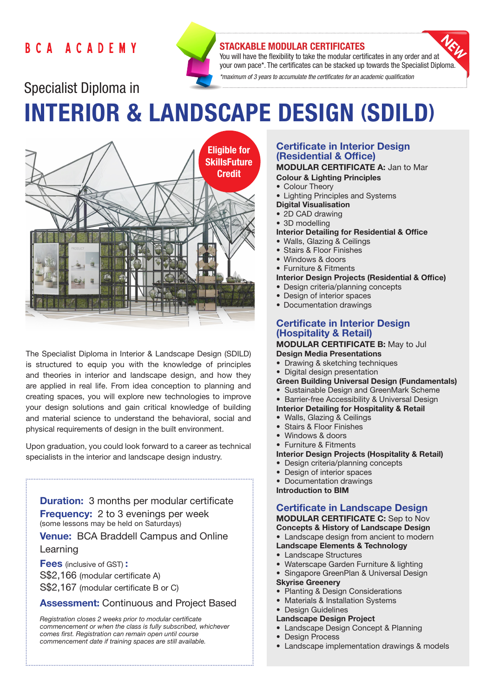## BCA ACADEMY



### STACKABLE MODULAR CERTIFICATES

You will have the flexibility to take the modular certificates in any order and at your own pace\*. The certificates can be stacked up towards the Specialist Diploma. *\*maximum of 3 years to accumulate the certificates for an academic qualification* 

# Specialist Diploma in INTERIOR & LANDSCAPE DESIGN (SDILD)



The Specialist Diploma in Interior & Landscape Design (SDILD) is structured to equip you with the knowledge of principles and theories in interior and landscape design, and how they are applied in real life. From idea conception to planning and creating spaces, you will explore new technologies to improve your design solutions and gain critical knowledge of building and material science to understand the behavioral, social and physical requirements of design in the built environment.

Upon graduation, you could look forward to a career as technical specialists in the interior and landscape design industry.

**Duration:** 3 months per modular certificate **Frequency:** 2 to 3 evenings per week (some lessons may be held on Saturdays)

Venue: BCA Braddell Campus and Online

#### Learning

Fees (inclusive of GST) : S\$2,166 (modular certificate A) S\$2,167 (modular certificate B or C)

## Assessment: Continuous and Project Based

*Registration closes 2 weeks prior to modular certificate commencement or when the class is fully subscribed, whichever comes first. Registration can remain open until course commencement date if training spaces are still available.*

## Certificate in Interior Design (Residential & Office)

MODULAR CERTIFICATE A: Jan to Mar Colour & Lighting Principles

- Colour Theory
- Lighting Principles and Systems
- Digital Visualisation
- 2D CAD drawing
- 3D modelling

#### Interior Detailing for Residential & Office

- Walls, Glazing & Ceilings
- Stairs & Floor Finishes
- Windows & doors
- Furniture & Fitments

#### Interior Design Projects (Residential & Office)

- Design criteria/planning concepts
- Design of interior spaces
- Documentation drawings

## Certificate in Interior Design (Hospitality & Retail)

#### MODULAR CERTIFICATE B: May to Jul Design Media Presentations

- Drawing & sketching techniques
- Digital design presentation
- Green Building Universal Design (Fundamentals)
- Sustainable Design and GreenMark Scheme
- Barrier-free Accessibility & Universal Design

#### Interior Detailing for Hospitality & Retail

- Walls, Glazing & Ceilings
- Stairs & Floor Finishes
- Windows & doors
- Furniture & Fitments
- Interior Design Projects (Hospitality & Retail)
- Design criteria/planning concepts
- Design of interior spaces
- Documentation drawings
- Introduction to BIM

#### Certificate in Landscape Design MODULAR CERTIFICATE C: Sep to Nov

Concepts & History of Landscape Design • Landscape design from ancient to modern

- Landscape Elements & Technology
- Landscape Structures
- Waterscape Garden Furniture & lighting
- Singapore GreenPlan & Universal Design

#### Skyrise Greenery

- Planting & Design Considerations
- Materials & Installation Systems
- Design Guidelines
- Landscape Design Project
- Landscape Design Concept & Planning
- Design Process
- Landscape implementation drawings & models